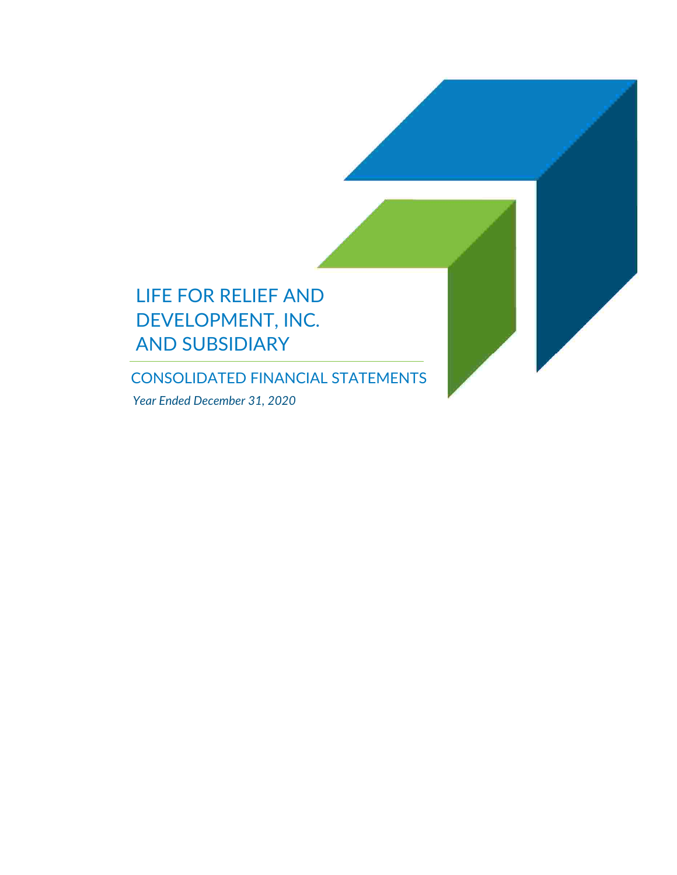

*Year Ended December 31, 2020*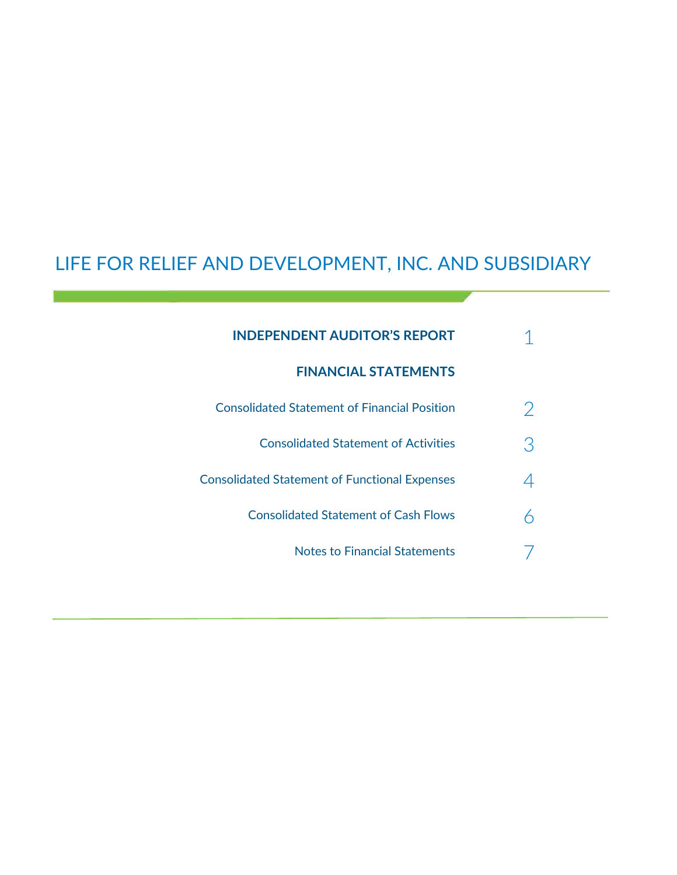# LIFE FOR RELIEF AND DEVELOPMENT, INC. AND SUBSIDIARY

| <b>INDEPENDENT AUDITOR'S REPORT</b>                  |   |
|------------------------------------------------------|---|
| <b>FINANCIAL STATEMENTS</b>                          |   |
| <b>Consolidated Statement of Financial Position</b>  | D |
| <b>Consolidated Statement of Activities</b>          | R |
| <b>Consolidated Statement of Functional Expenses</b> |   |
| <b>Consolidated Statement of Cash Flows</b>          |   |
| Notes to Financial Statements                        |   |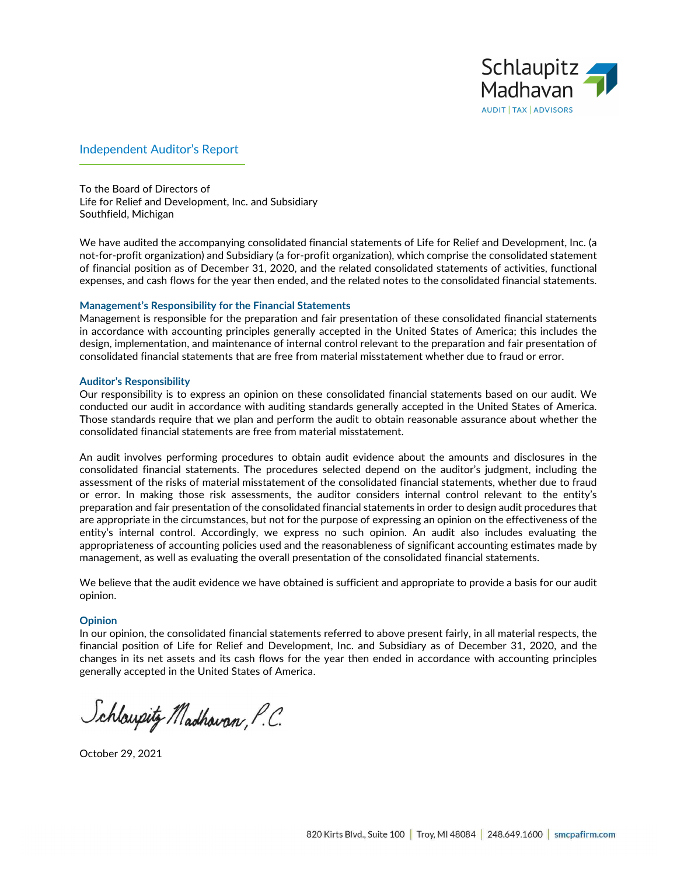

### Independent Auditor's Report

To the Board of Directors of Life for Relief and Development, Inc. and Subsidiary Southfield, Michigan

We have audited the accompanying consolidated financial statements of Life for Relief and Development, Inc. (a not-for-profit organization) and Subsidiary (a for-profit organization), which comprise the consolidated statement of financial position as of December 31, 2020, and the related consolidated statements of activities, functional expenses, and cash flows for the year then ended, and the related notes to the consolidated financial statements.

#### **Management's Responsibility for the Financial Statements**

Management is responsible for the preparation and fair presentation of these consolidated financial statements in accordance with accounting principles generally accepted in the United States of America; this includes the design, implementation, and maintenance of internal control relevant to the preparation and fair presentation of consolidated financial statements that are free from material misstatement whether due to fraud or error.

#### **Auditor's Responsibility**

Our responsibility is to express an opinion on these consolidated financial statements based on our audit. We conducted our audit in accordance with auditing standards generally accepted in the United States of America. Those standards require that we plan and perform the audit to obtain reasonable assurance about whether the consolidated financial statements are free from material misstatement.

An audit involves performing procedures to obtain audit evidence about the amounts and disclosures in the consolidated financial statements. The procedures selected depend on the auditor's judgment, including the assessment of the risks of material misstatement of the consolidated financial statements, whether due to fraud or error. In making those risk assessments, the auditor considers internal control relevant to the entity's preparation and fair presentation of the consolidated financial statements in order to design audit procedures that are appropriate in the circumstances, but not for the purpose of expressing an opinion on the effectiveness of the entity's internal control. Accordingly, we express no such opinion. An audit also includes evaluating the appropriateness of accounting policies used and the reasonableness of significant accounting estimates made by management, as well as evaluating the overall presentation of the consolidated financial statements.

We believe that the audit evidence we have obtained is sufficient and appropriate to provide a basis for our audit opinion.

#### **Opinion**

In our opinion, the consolidated financial statements referred to above present fairly, in all material respects, the financial position of Life for Relief and Development, Inc. and Subsidiary as of December 31, 2020, and the changes in its net assets and its cash flows for the year then ended in accordance with accounting principles generally accepted in the United States of America.

Schloupitz Madhovan, P.C.

October 29, 2021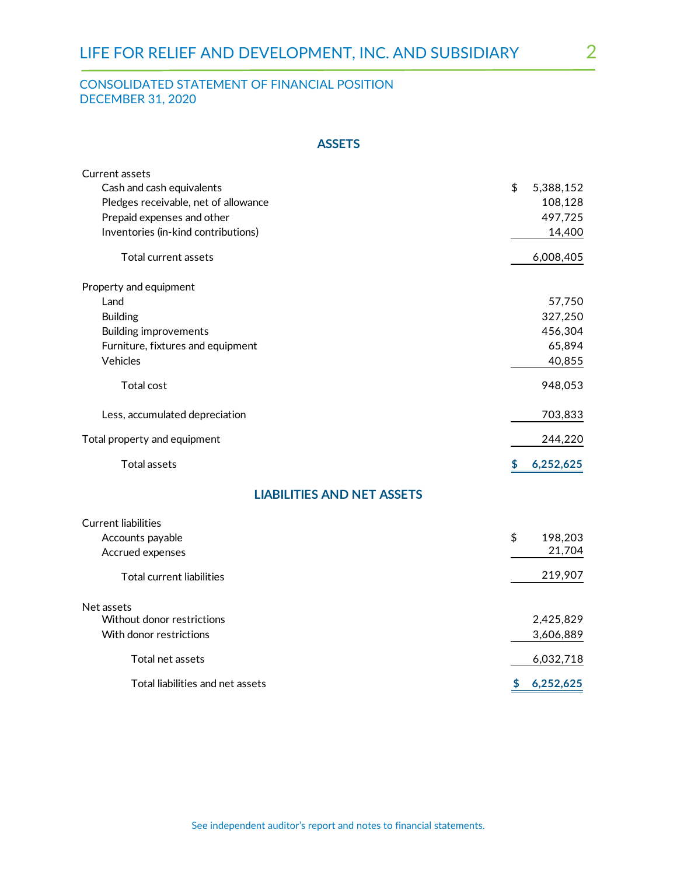# CONSOLIDATED STATEMENT OF FINANCIAL POSITION DECEMBER 31, 2020

#### **ASSETS**

| Current assets                       |                 |
|--------------------------------------|-----------------|
| Cash and cash equivalents            | \$<br>5,388,152 |
| Pledges receivable, net of allowance | 108,128         |
| Prepaid expenses and other           | 497,725         |
| Inventories (in-kind contributions)  | 14,400          |
| Total current assets                 | 6,008,405       |
| Property and equipment               |                 |
| Land                                 | 57,750          |
| <b>Building</b>                      | 327,250         |
| <b>Building improvements</b>         | 456,304         |
| Furniture, fixtures and equipment    | 65,894          |
| Vehicles                             | 40,855          |
| Total cost                           | 948,053         |
| Less, accumulated depreciation       | 703,833         |
| Total property and equipment         | 244,220         |
| <b>Total assets</b>                  | \$<br>6,252,625 |
| <b>LIABILITIES AND NET ASSETS</b>    |                 |
| <b>Current liabilities</b>           |                 |
| Accounts payable                     | \$<br>198,203   |
| Accrued expenses                     | 21,704          |
| <b>Total current liabilities</b>     | 219,907         |
| Net assets                           |                 |
| Without donor restrictions           | 2,425,829       |
| With donor restrictions              | 3,606,889       |
| Total net assets                     | 6,032,718       |
| Total liabilities and net assets     | 6,252,625<br>\$ |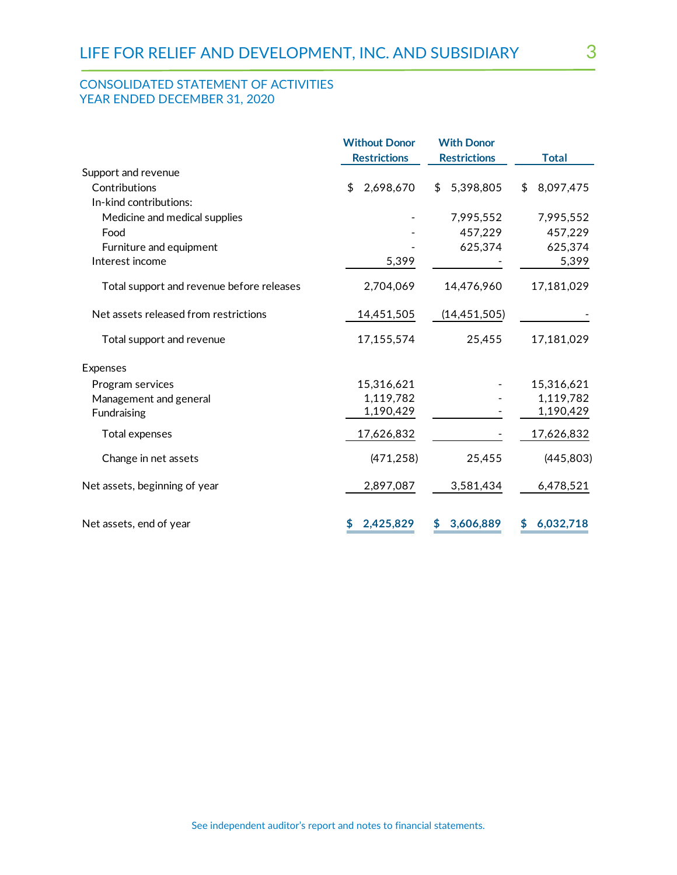# CONSOLIDATED STATEMENT OF ACTIVITIES YEAR ENDED DECEMBER 31, 2020

|                                           | <b>Without Donor</b><br><b>Restrictions</b> | <b>With Donor</b><br><b>Restrictions</b> | <b>Total</b>    |
|-------------------------------------------|---------------------------------------------|------------------------------------------|-----------------|
| Support and revenue                       |                                             |                                          |                 |
| Contributions                             | 2,698,670<br>\$                             | 5,398,805<br>\$                          | 8,097,475<br>\$ |
| In-kind contributions:                    |                                             |                                          |                 |
| Medicine and medical supplies             |                                             | 7,995,552                                | 7,995,552       |
| Food                                      |                                             | 457,229                                  | 457,229         |
| Furniture and equipment                   |                                             | 625,374                                  | 625,374         |
| Interest income                           | 5,399                                       |                                          | 5,399           |
| Total support and revenue before releases | 2,704,069                                   | 14,476,960                               | 17,181,029      |
| Net assets released from restrictions     | 14,451,505                                  | (14, 451, 505)                           |                 |
| Total support and revenue                 | 17,155,574                                  | 25,455                                   | 17,181,029      |
| <b>Expenses</b>                           |                                             |                                          |                 |
| Program services                          | 15,316,621                                  |                                          | 15,316,621      |
| Management and general                    | 1,119,782                                   |                                          | 1,119,782       |
| Fundraising                               | 1,190,429                                   |                                          | 1,190,429       |
| Total expenses                            | 17,626,832                                  |                                          | 17,626,832      |
| Change in net assets                      | (471, 258)                                  | 25,455                                   | (445, 803)      |
| Net assets, beginning of year             | 2,897,087                                   | 3,581,434                                | 6,478,521       |
| Net assets, end of year                   | 2,425,829<br>\$                             | 3,606,889<br>\$                          | 6,032,718<br>\$ |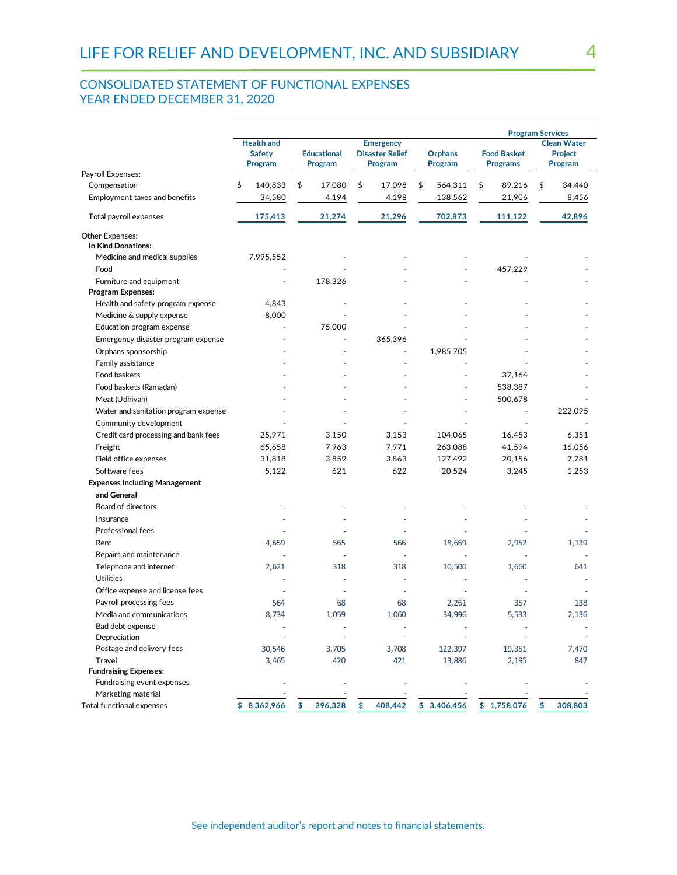# CONSOLIDATED STATEMENT OF FUNCTIONAL EXPENSES YEAR ENDED DECEMBER 31, 2020

|                                              |                                    |                    |                                            |                 |                    | <b>Program Services</b>       |
|----------------------------------------------|------------------------------------|--------------------|--------------------------------------------|-----------------|--------------------|-------------------------------|
|                                              | <b>Health and</b><br><b>Safety</b> | <b>Educational</b> | <b>Emergency</b><br><b>Disaster Relief</b> | <b>Orphans</b>  | <b>Food Basket</b> | <b>Clean Water</b><br>Project |
| Payroll Expenses:                            | Program                            | Program            | Program                                    | Program         | <b>Programs</b>    | Program                       |
| Compensation                                 | \$<br>140,833                      | \$<br>17,080       | \$<br>17,098                               | \$<br>564,311   | \$<br>89,216       | \$<br>34,440                  |
| Employment taxes and benefits                | 34,580                             | 4,194              | 4,198                                      | 138,562         | 21,906             | 8,456                         |
| Total payroll expenses                       | 175,413                            | 21,274             | 21,296                                     | 702,873         | 111,122            | 42,896                        |
| Other Expenses:<br><b>In Kind Donations:</b> |                                    |                    |                                            |                 |                    |                               |
| Medicine and medical supplies                | 7,995,552                          |                    |                                            |                 |                    |                               |
| Food                                         |                                    |                    |                                            |                 | 457,229            |                               |
| Furniture and equipment                      |                                    | 178,326            |                                            |                 |                    |                               |
| <b>Program Expenses:</b>                     |                                    |                    |                                            |                 |                    |                               |
| Health and safety program expense            | 4,843                              |                    |                                            |                 |                    |                               |
| Medicine & supply expense                    | 8,000                              |                    |                                            |                 |                    |                               |
| Education program expense                    |                                    | 75,000             |                                            |                 |                    |                               |
| Emergency disaster program expense           |                                    |                    | 365,396                                    |                 |                    |                               |
| Orphans sponsorship                          |                                    |                    |                                            | 1,985,705       |                    |                               |
| Family assistance                            |                                    |                    |                                            |                 |                    |                               |
| Food baskets                                 |                                    |                    |                                            |                 | 37,164             |                               |
| Food baskets (Ramadan)                       |                                    |                    |                                            |                 | 538,387            |                               |
| Meat (Udhiyah)                               |                                    |                    |                                            |                 | 500,678            |                               |
| Water and sanitation program expense         |                                    |                    |                                            |                 |                    | 222,095                       |
| Community development                        |                                    |                    |                                            |                 |                    |                               |
| Credit card processing and bank fees         | 25,971                             | 3,150              | 3,153                                      | 104,065         | 16,453             | 6,351                         |
| Freight                                      | 65,658                             | 7,963              | 7,971                                      | 263,088         | 41,594             | 16,056                        |
| Field office expenses                        | 31,818                             | 3,859              | 3,863                                      | 127,492         | 20,156             | 7,781                         |
| Software fees                                | 5,122                              | 621                | 622                                        | 20,524          | 3,245              | 1,253                         |
| <b>Expenses Including Management</b>         |                                    |                    |                                            |                 |                    |                               |
| and General                                  |                                    |                    |                                            |                 |                    |                               |
| Board of directors                           |                                    |                    |                                            |                 |                    |                               |
| Insurance                                    |                                    |                    |                                            |                 |                    |                               |
| Professional fees                            |                                    |                    |                                            |                 |                    |                               |
| Rent                                         | 4,659                              | 565                | 566                                        | 18,669          | 2,952              | 1,139                         |
| Repairs and maintenance                      |                                    |                    |                                            |                 |                    |                               |
| Telephone and internet                       | 2,621                              | 318                | 318                                        | 10,500          | 1,660              | 641                           |
| <b>Utilities</b>                             |                                    |                    |                                            |                 |                    |                               |
| Office expense and license fees              |                                    |                    |                                            |                 |                    |                               |
| Payroll processing fees                      | 564                                | 68                 | 68                                         | 2,261           | 357                | 138                           |
| Media and communications                     | 8,734                              | 1,059              | 1,060                                      | 34,996          | 5,533              | 2,136                         |
| Bad debt expense                             |                                    |                    |                                            |                 |                    |                               |
| Depreciation                                 |                                    |                    |                                            |                 |                    |                               |
| Postage and delivery fees                    | 30,546                             | 3,705              | 3,708                                      | 122,397         | 19,351             | 7,470                         |
| <b>Travel</b>                                | 3,465                              | 420                | 421                                        | 13,886          | 2,195              | 847                           |
| <b>Fundraising Expenses:</b>                 |                                    |                    |                                            |                 |                    |                               |
| Fundraising event expenses                   |                                    |                    |                                            |                 |                    |                               |
| Marketing material                           |                                    |                    |                                            |                 |                    |                               |
| Total functional expenses                    | 8,362,966                          | 296,328            | 408,442                                    | 3,406,456<br>\$ | 1,758,076<br>\$    | 308,803                       |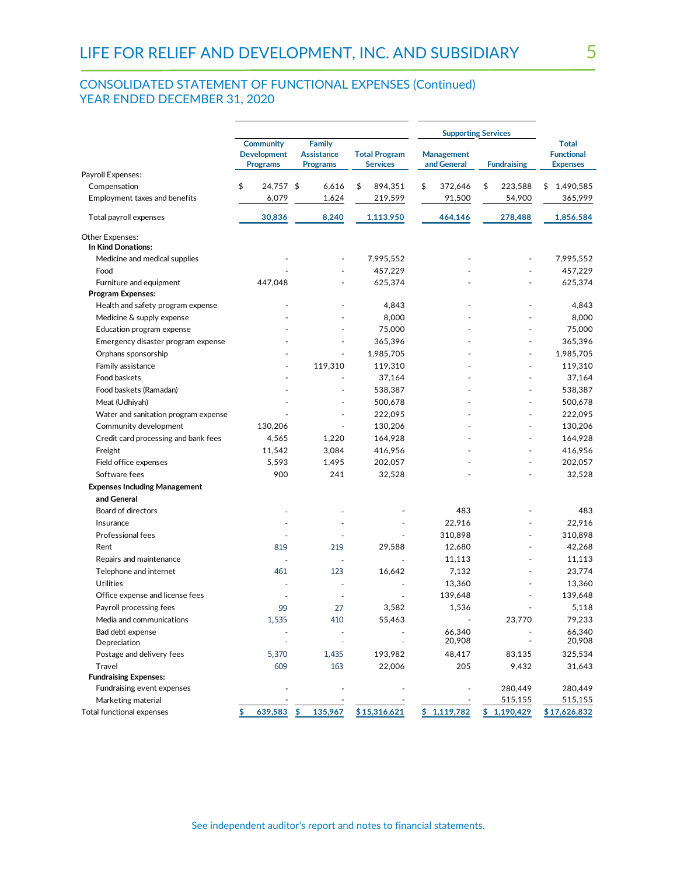# CONSOLIDATED STATEMENT OF FUNCTIONAL EXPENSES (Continued) YEAR ENDED DECEMBER 31, 2020

|                                      |                                        |                                    |                      | <b>Supporting Services</b> |                    |                                   |
|--------------------------------------|----------------------------------------|------------------------------------|----------------------|----------------------------|--------------------|-----------------------------------|
|                                      | <b>Community</b><br><b>Development</b> | <b>Family</b><br><b>Assistance</b> | <b>Total Program</b> | <b>Management</b>          |                    | <b>Total</b><br><b>Functional</b> |
|                                      | <b>Programs</b>                        | <b>Programs</b>                    | <b>Services</b>      | and General                | <b>Fundraising</b> | <b>Expenses</b>                   |
| Payroll Expenses:                    |                                        |                                    |                      |                            |                    |                                   |
| Compensation                         | \$<br>24,757 \$                        | 6,616                              | \$<br>894,351        | \$<br>372,646              | \$<br>223,588      | \$<br>1,490,585                   |
| Employment taxes and benefits        | 6,079                                  | 1,624                              | 219,599              | 91,500                     | 54,900             | 365,999                           |
| Total payroll expenses               | 30,836                                 | 8,240                              | 1,113,950            | 464,146                    | 278,488            | 1,856,584                         |
| Other Expenses:                      |                                        |                                    |                      |                            |                    |                                   |
| In Kind Donations:                   |                                        |                                    |                      |                            |                    |                                   |
| Medicine and medical supplies        |                                        |                                    | 7,995,552            |                            |                    | 7,995,552                         |
| Food                                 |                                        |                                    | 457,229              |                            |                    | 457,229                           |
| Furniture and equipment              | 447,048                                |                                    | 625,374              |                            |                    | 625,374                           |
| <b>Program Expenses:</b>             |                                        |                                    |                      |                            |                    |                                   |
| Health and safety program expense    |                                        |                                    | 4,843                |                            |                    | 4,843                             |
| Medicine & supply expense            |                                        |                                    | 8,000                |                            |                    | 8,000                             |
| Education program expense            |                                        |                                    | 75,000               |                            |                    | 75,000                            |
| Emergency disaster program expense   |                                        |                                    | 365,396              |                            |                    | 365,396                           |
| Orphans sponsorship                  |                                        |                                    | 1,985,705            |                            |                    | 1,985,705                         |
| Family assistance                    |                                        | 119,310                            | 119,310              |                            | Ĭ.                 | 119,310                           |
| Food baskets                         |                                        |                                    | 37,164               |                            |                    | 37,164                            |
| Food baskets (Ramadan)               |                                        |                                    | 538,387              |                            |                    | 538,387                           |
| Meat (Udhiyah)                       |                                        |                                    | 500,678              |                            | L,                 | 500,678                           |
| Water and sanitation program expense |                                        |                                    | 222,095              |                            |                    | 222,095                           |
| Community development                | 130,206                                |                                    | 130,206              |                            |                    | 130,206                           |
| Credit card processing and bank fees | 4,565                                  | 1,220                              | 164,928              |                            | ٠                  | 164,928                           |
| Freight                              | 11,542                                 | 3,084                              | 416,956              |                            |                    | 416,956                           |
| Field office expenses                | 5,593                                  | 1,495                              | 202,057              |                            |                    | 202,057                           |
| Software fees                        | 900                                    | 241                                | 32,528               |                            |                    | 32,528                            |
| <b>Expenses Including Management</b> |                                        |                                    |                      |                            |                    |                                   |
| and General                          |                                        |                                    |                      |                            |                    |                                   |
| Board of directors                   |                                        |                                    |                      | 483                        |                    | 483                               |
| Insurance                            |                                        |                                    |                      | 22,916                     |                    | 22,916                            |
| Professional fees                    |                                        |                                    |                      | 310,898                    |                    | 310,898                           |
| Rent                                 | 819                                    | 219                                | 29,588               | 12,680                     |                    | 42,268                            |
| Repairs and maintenance              |                                        |                                    |                      | 11,113                     |                    | 11,113                            |
| Telephone and internet               | 461                                    | 123                                | 16,642               | 7,132                      |                    | 23,774                            |
| <b>Utilities</b>                     |                                        |                                    |                      | 13,360                     |                    | 13,360                            |
| Office expense and license fees      |                                        |                                    |                      | 139,648                    |                    | 139,648                           |
| Payroll processing fees              | 99                                     | 27                                 | 3,582                | 1,536                      |                    | 5,118                             |
| Media and communications             | 1,535                                  | 410                                | 55,463               |                            | 23,770             | 79,233                            |
| Bad debt expense                     |                                        |                                    |                      | 66,340                     |                    | 66,340                            |
| Depreciation                         |                                        |                                    |                      | 20,908                     |                    | 20,908                            |
| Postage and delivery fees            | 5,370                                  | 1,435                              | 193,982              | 48,417                     | 83,135             | 325,534                           |
| Travel                               | 609                                    | 163                                | 22,006               | 205                        | 9,432              | 31,643                            |
| <b>Fundraising Expenses:</b>         |                                        |                                    |                      |                            |                    |                                   |
| Fundraising event expenses           |                                        |                                    |                      |                            | 280,449            | 280,449                           |
| Marketing material                   |                                        |                                    |                      |                            | 515,155            | 515,155                           |
| Total functional expenses            | 639,583                                | \$<br>135,967                      | \$15,316,621         | 1,119,782<br>\$            | 1,190,429          | \$17,626,832                      |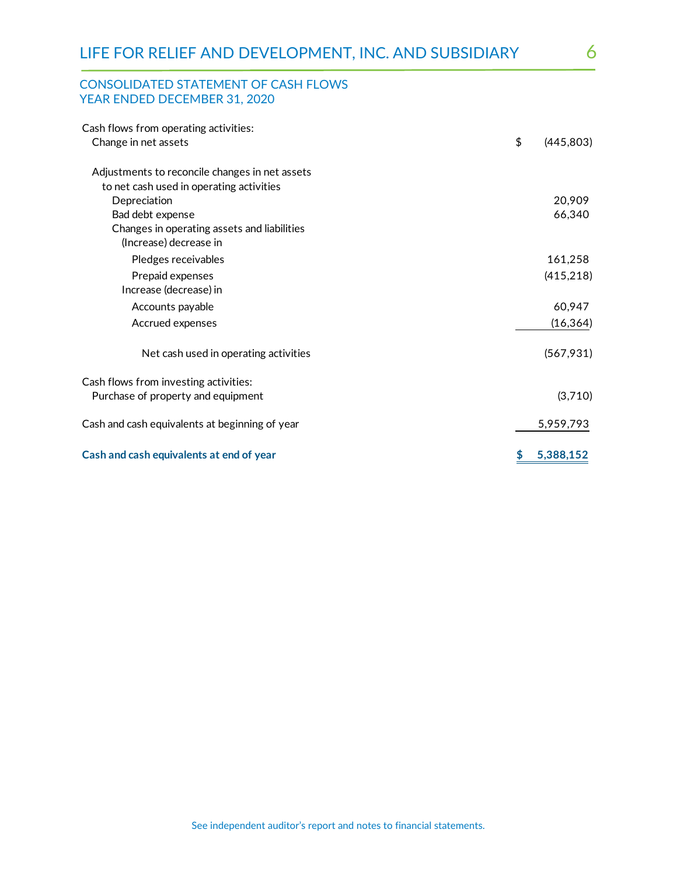LIFE FOR RELIEF AND DEVELOPMENT, INC. AND SUBSIDIARY 6

# CONSOLIDATED STATEMENT OF CASH FLOWS YEAR ENDED DECEMBER 31, 2020

| Cash flows from operating activities:          |                  |
|------------------------------------------------|------------------|
| Change in net assets                           | \$<br>(445, 803) |
| Adjustments to reconcile changes in net assets |                  |
| to net cash used in operating activities       |                  |
| Depreciation                                   | 20,909           |
| Bad debt expense                               | 66,340           |
| Changes in operating assets and liabilities    |                  |
| (Increase) decrease in                         |                  |
| Pledges receivables                            | 161,258          |
| Prepaid expenses                               | (415, 218)       |
| Increase (decrease) in                         |                  |
| Accounts payable                               | 60,947           |
| Accrued expenses                               | (16, 364)        |
| Net cash used in operating activities          | (567, 931)       |
| Cash flows from investing activities:          |                  |
| Purchase of property and equipment             | (3,710)          |
| Cash and cash equivalents at beginning of year | 5,959,793        |
| Cash and cash equivalents at end of year       | \$<br>5,388,152  |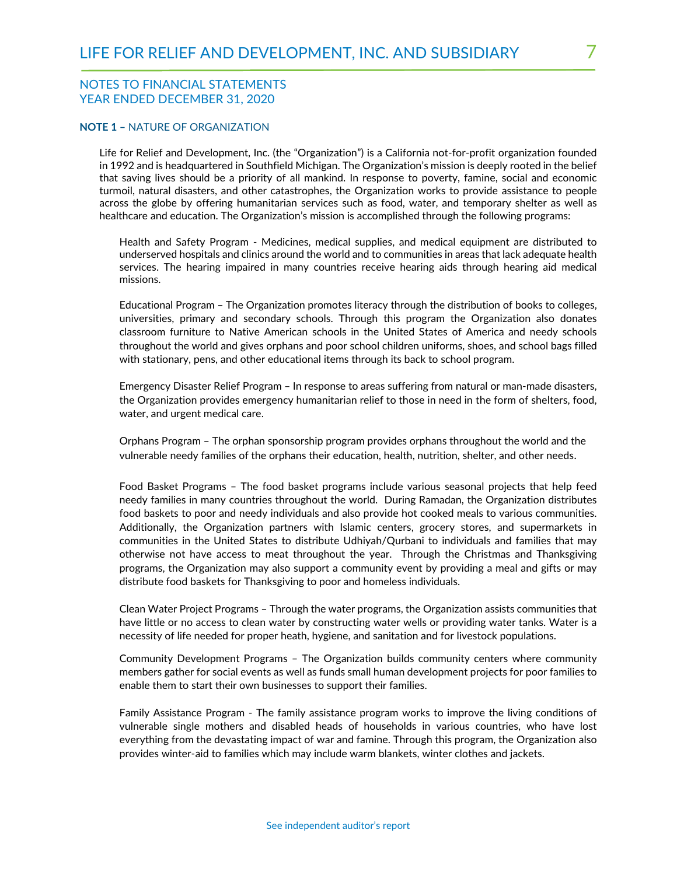#### **NOTE 1 –** NATURE OF ORGANIZATION

Life for Relief and Development, Inc. (the "Organization") is a California not-for-profit organization founded in 1992 and is headquartered in Southfield Michigan. The Organization's mission is deeply rooted in the belief that saving lives should be a priority of all mankind. In response to poverty, famine, social and economic turmoil, natural disasters, and other catastrophes, the Organization works to provide assistance to people across the globe by offering humanitarian services such as food, water, and temporary shelter as well as healthcare and education. The Organization's mission is accomplished through the following programs:

Health and Safety Program - Medicines, medical supplies, and medical equipment are distributed to underserved hospitals and clinics around the world and to communities in areas that lack adequate health services. The hearing impaired in many countries receive hearing aids through hearing aid medical missions.

Educational Program – The Organization promotes literacy through the distribution of books to colleges, universities, primary and secondary schools. Through this program the Organization also donates classroom furniture to Native American schools in the United States of America and needy schools throughout the world and gives orphans and poor school children uniforms, shoes, and school bags filled with stationary, pens, and other educational items through its back to school program.

Emergency Disaster Relief Program – In response to areas suffering from natural or man-made disasters, the Organization provides emergency humanitarian relief to those in need in the form of shelters, food, water, and urgent medical care.

Orphans Program – The orphan sponsorship program provides orphans throughout the world and the vulnerable needy families of the orphans their education, health, nutrition, shelter, and other needs.

Food Basket Programs – The food basket programs include various seasonal projects that help feed needy families in many countries throughout the world. During Ramadan, the Organization distributes food baskets to poor and needy individuals and also provide hot cooked meals to various communities. Additionally, the Organization partners with Islamic centers, grocery stores, and supermarkets in communities in the United States to distribute Udhiyah/Qurbani to individuals and families that may otherwise not have access to meat throughout the year. Through the Christmas and Thanksgiving programs, the Organization may also support a community event by providing a meal and gifts or may distribute food baskets for Thanksgiving to poor and homeless individuals.

Clean Water Project Programs – Through the water programs, the Organization assists communities that have little or no access to clean water by constructing water wells or providing water tanks. Water is a necessity of life needed for proper heath, hygiene, and sanitation and for livestock populations.

Community Development Programs – The Organization builds community centers where community members gather for social events as well as funds small human development projects for poor families to enable them to start their own businesses to support their families.

Family Assistance Program - The family assistance program works to improve the living conditions of vulnerable single mothers and disabled heads of households in various countries, who have lost everything from the devastating impact of war and famine. Through this program, the Organization also provides winter-aid to families which may include warm blankets, winter clothes and jackets.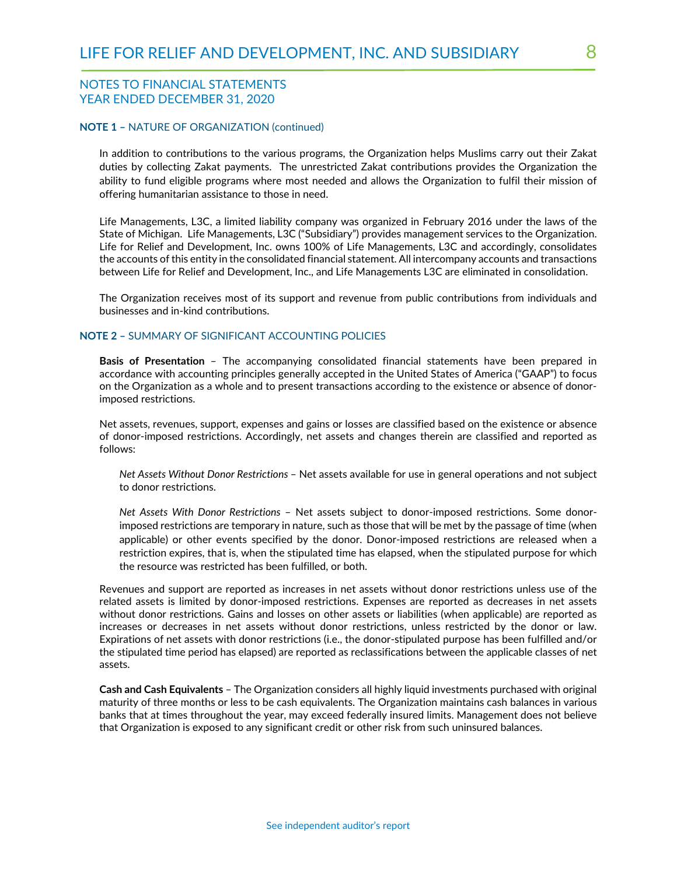#### **NOTE 1 –** NATURE OF ORGANIZATION (continued)

In addition to contributions to the various programs, the Organization helps Muslims carry out their Zakat duties by collecting Zakat payments. The unrestricted Zakat contributions provides the Organization the ability to fund eligible programs where most needed and allows the Organization to fulfil their mission of offering humanitarian assistance to those in need.

Life Managements, L3C, a limited liability company was organized in February 2016 under the laws of the State of Michigan. Life Managements, L3C ("Subsidiary") provides management services to the Organization. Life for Relief and Development, Inc. owns 100% of Life Managements, L3C and accordingly, consolidates the accounts of this entity in the consolidated financial statement. All intercompany accounts and transactions between Life for Relief and Development, Inc., and Life Managements L3C are eliminated in consolidation.

The Organization receives most of its support and revenue from public contributions from individuals and businesses and in-kind contributions.

#### **NOTE 2 –** SUMMARY OF SIGNIFICANT ACCOUNTING POLICIES

**Basis of Presentation** – The accompanying consolidated financial statements have been prepared in accordance with accounting principles generally accepted in the United States of America ("GAAP") to focus on the Organization as a whole and to present transactions according to the existence or absence of donorimposed restrictions.

Net assets, revenues, support, expenses and gains or losses are classified based on the existence or absence of donor-imposed restrictions. Accordingly, net assets and changes therein are classified and reported as follows:

*Net Assets Without Donor Restrictions* – Net assets available for use in general operations and not subject to donor restrictions.

*Net Assets With Donor Restrictions* – Net assets subject to donor-imposed restrictions. Some donorimposed restrictions are temporary in nature, such as those that will be met by the passage of time (when applicable) or other events specified by the donor. Donor-imposed restrictions are released when a restriction expires, that is, when the stipulated time has elapsed, when the stipulated purpose for which the resource was restricted has been fulfilled, or both.

Revenues and support are reported as increases in net assets without donor restrictions unless use of the related assets is limited by donor-imposed restrictions. Expenses are reported as decreases in net assets without donor restrictions. Gains and losses on other assets or liabilities (when applicable) are reported as increases or decreases in net assets without donor restrictions, unless restricted by the donor or law. Expirations of net assets with donor restrictions (i.e., the donor-stipulated purpose has been fulfilled and/or the stipulated time period has elapsed) are reported as reclassifications between the applicable classes of net assets.

**Cash and Cash Equivalents** – The Organization considers all highly liquid investments purchased with original maturity of three months or less to be cash equivalents. The Organization maintains cash balances in various banks that at times throughout the year, may exceed federally insured limits. Management does not believe that Organization is exposed to any significant credit or other risk from such uninsured balances.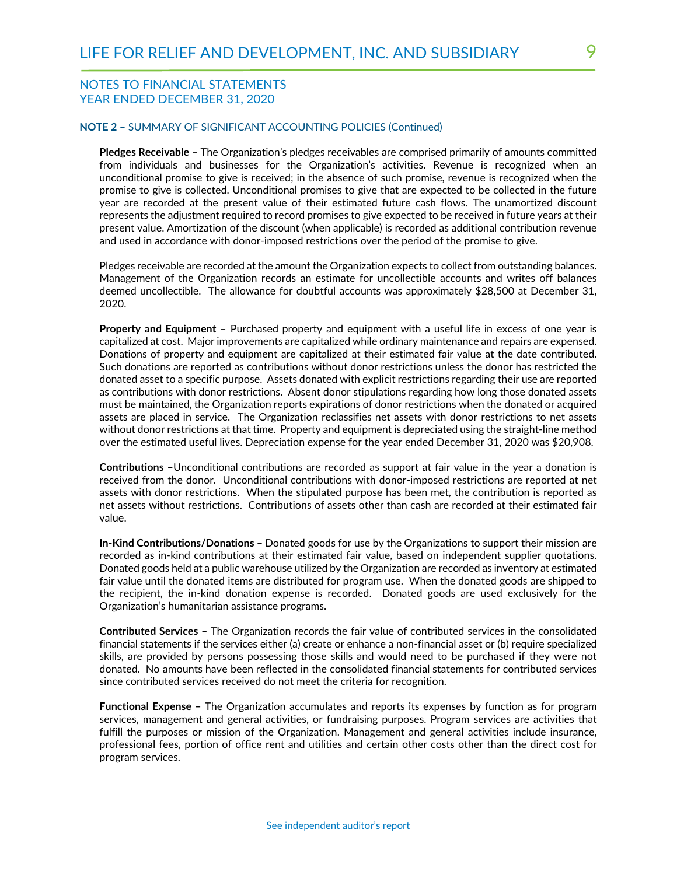#### **NOTE 2 –** SUMMARY OF SIGNIFICANT ACCOUNTING POLICIES (Continued)

**Pledges Receivable** – The Organization's pledges receivables are comprised primarily of amounts committed from individuals and businesses for the Organization's activities. Revenue is recognized when an unconditional promise to give is received; in the absence of such promise, revenue is recognized when the promise to give is collected. Unconditional promises to give that are expected to be collected in the future year are recorded at the present value of their estimated future cash flows. The unamortized discount represents the adjustment required to record promises to give expected to be received in future years at their present value. Amortization of the discount (when applicable) is recorded as additional contribution revenue and used in accordance with donor-imposed restrictions over the period of the promise to give.

Pledges receivable are recorded at the amount the Organization expects to collect from outstanding balances. Management of the Organization records an estimate for uncollectible accounts and writes off balances deemed uncollectible. The allowance for doubtful accounts was approximately \$28,500 at December 31, 2020.

**Property and Equipment** – Purchased property and equipment with a useful life in excess of one year is capitalized at cost. Major improvements are capitalized while ordinary maintenance and repairs are expensed. Donations of property and equipment are capitalized at their estimated fair value at the date contributed. Such donations are reported as contributions without donor restrictions unless the donor has restricted the donated asset to a specific purpose. Assets donated with explicit restrictions regarding their use are reported as contributions with donor restrictions. Absent donor stipulations regarding how long those donated assets must be maintained, the Organization reports expirations of donor restrictions when the donated or acquired assets are placed in service. The Organization reclassifies net assets with donor restrictions to net assets without donor restrictions at that time. Property and equipment is depreciated using the straight-line method over the estimated useful lives. Depreciation expense for the year ended December 31, 2020 was \$20,908.

**Contributions –**Unconditional contributions are recorded as support at fair value in the year a donation is received from the donor. Unconditional contributions with donor-imposed restrictions are reported at net assets with donor restrictions. When the stipulated purpose has been met, the contribution is reported as net assets without restrictions. Contributions of assets other than cash are recorded at their estimated fair value.

**In-Kind Contributions/Donations –** Donated goods for use by the Organizations to support their mission are recorded as in-kind contributions at their estimated fair value, based on independent supplier quotations. Donated goods held at a public warehouse utilized by the Organization are recorded as inventory at estimated fair value until the donated items are distributed for program use. When the donated goods are shipped to the recipient, the in-kind donation expense is recorded. Donated goods are used exclusively for the Organization's humanitarian assistance programs.

**Contributed Services –** The Organization records the fair value of contributed services in the consolidated financial statements if the services either (a) create or enhance a non-financial asset or (b) require specialized skills, are provided by persons possessing those skills and would need to be purchased if they were not donated. No amounts have been reflected in the consolidated financial statements for contributed services since contributed services received do not meet the criteria for recognition.

**Functional Expense –** The Organization accumulates and reports its expenses by function as for program services, management and general activities, or fundraising purposes. Program services are activities that fulfill the purposes or mission of the Organization. Management and general activities include insurance, professional fees, portion of office rent and utilities and certain other costs other than the direct cost for program services.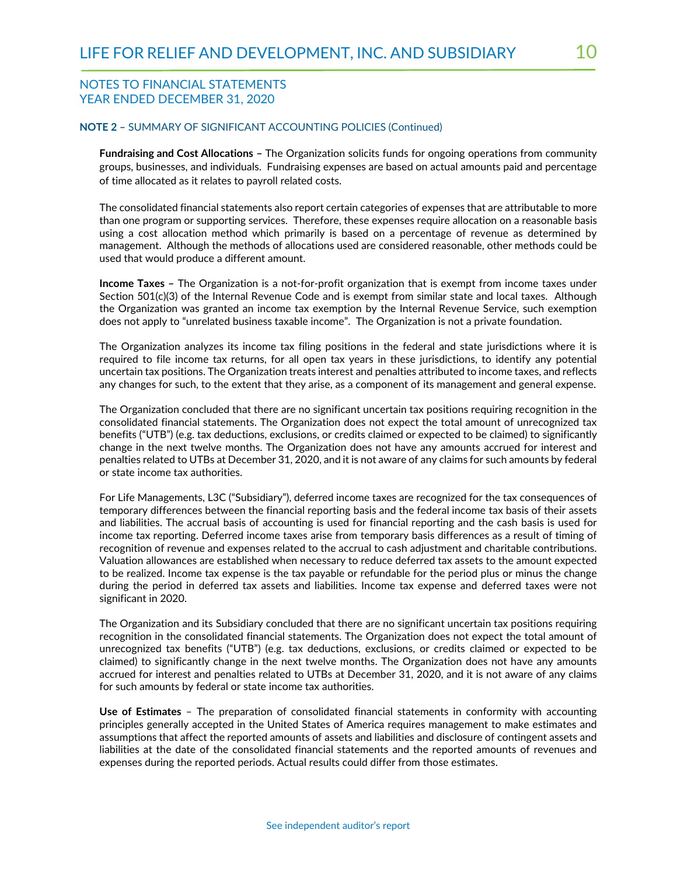#### **NOTE 2 –** SUMMARY OF SIGNIFICANT ACCOUNTING POLICIES (Continued)

**Fundraising and Cost Allocations –** The Organization solicits funds for ongoing operations from community groups, businesses, and individuals. Fundraising expenses are based on actual amounts paid and percentage of time allocated as it relates to payroll related costs.

The consolidated financial statements also report certain categories of expenses that are attributable to more than one program or supporting services. Therefore, these expenses require allocation on a reasonable basis using a cost allocation method which primarily is based on a percentage of revenue as determined by management. Although the methods of allocations used are considered reasonable, other methods could be used that would produce a different amount.

**Income Taxes –** The Organization is a not-for-profit organization that is exempt from income taxes under Section 501(c)(3) of the Internal Revenue Code and is exempt from similar state and local taxes. Although the Organization was granted an income tax exemption by the Internal Revenue Service, such exemption does not apply to "unrelated business taxable income". The Organization is not a private foundation.

The Organization analyzes its income tax filing positions in the federal and state jurisdictions where it is required to file income tax returns, for all open tax years in these jurisdictions, to identify any potential uncertain tax positions. The Organization treats interest and penalties attributed to income taxes, and reflects any changes for such, to the extent that they arise, as a component of its management and general expense.

The Organization concluded that there are no significant uncertain tax positions requiring recognition in the consolidated financial statements. The Organization does not expect the total amount of unrecognized tax benefits ("UTB") (e.g. tax deductions, exclusions, or credits claimed or expected to be claimed) to significantly change in the next twelve months. The Organization does not have any amounts accrued for interest and penalties related to UTBs at December 31, 2020, and it is not aware of any claims for such amounts by federal or state income tax authorities.

For Life Managements, L3C ("Subsidiary"), deferred income taxes are recognized for the tax consequences of temporary differences between the financial reporting basis and the federal income tax basis of their assets and liabilities. The accrual basis of accounting is used for financial reporting and the cash basis is used for income tax reporting. Deferred income taxes arise from temporary basis differences as a result of timing of recognition of revenue and expenses related to the accrual to cash adjustment and charitable contributions. Valuation allowances are established when necessary to reduce deferred tax assets to the amount expected to be realized. Income tax expense is the tax payable or refundable for the period plus or minus the change during the period in deferred tax assets and liabilities. Income tax expense and deferred taxes were not significant in 2020.

The Organization and its Subsidiary concluded that there are no significant uncertain tax positions requiring recognition in the consolidated financial statements. The Organization does not expect the total amount of unrecognized tax benefits ("UTB") (e.g. tax deductions, exclusions, or credits claimed or expected to be claimed) to significantly change in the next twelve months. The Organization does not have any amounts accrued for interest and penalties related to UTBs at December 31, 2020, and it is not aware of any claims for such amounts by federal or state income tax authorities.

**Use of Estimates** – The preparation of consolidated financial statements in conformity with accounting principles generally accepted in the United States of America requires management to make estimates and assumptions that affect the reported amounts of assets and liabilities and disclosure of contingent assets and liabilities at the date of the consolidated financial statements and the reported amounts of revenues and expenses during the reported periods. Actual results could differ from those estimates.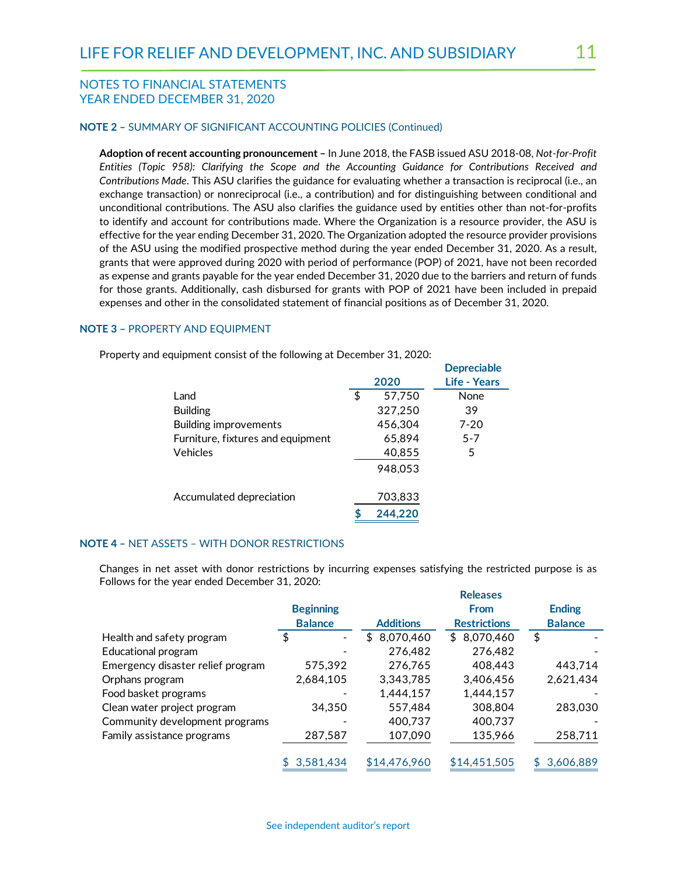#### **NOTE 2 –** SUMMARY OF SIGNIFICANT ACCOUNTING POLICIES (Continued)

**Adoption of recent accounting pronouncement –** In June 2018, the FASB issued ASU 2018-08, *Not-for-Profit Entities (Topic 958): Clarifying the Scope and the Accounting Guidance for Contributions Received and Contributions Made*. This ASU clarifies the guidance for evaluating whether a transaction is reciprocal (i.e., an exchange transaction) or nonreciprocal (i.e., a contribution) and for distinguishing between conditional and unconditional contributions. The ASU also clarifies the guidance used by entities other than not-for-profits to identify and account for contributions made. Where the Organization is a resource provider, the ASU is effective for the year ending December 31, 2020. The Organization adopted the resource provider provisions of the ASU using the modified prospective method during the year ended December 31, 2020. As a result, grants that were approved during 2020 with period of performance (POP) of 2021, have not been recorded as expense and grants payable for the year ended December 31, 2020 due to the barriers and return of funds for those grants. Additionally, cash disbursed for grants with POP of 2021 have been included in prepaid expenses and other in the consolidated statement of financial positions as of December 31, 2020.

#### **NOTE 3 –** PROPERTY AND EQUIPMENT

Property and equipment consist of the following at December 31, 2020:

|                                   |              | <b>Depreciable</b> |
|-----------------------------------|--------------|--------------------|
|                                   | 2020         | Life - Years       |
| Land                              | \$<br>57,750 | <b>None</b>        |
| <b>Building</b>                   | 327,250      | 39                 |
| Building improvements             | 456,304      | $7 - 20$           |
| Furniture, fixtures and equipment | 65,894       | $5 - 7$            |
| <b>Vehicles</b>                   | 40,855       | 5                  |
|                                   | 948,053      |                    |
| Accumulated depreciation          | 703,833      |                    |
|                                   | 244.220      |                    |

#### **NOTE 4 –** NET ASSETS – WITH DONOR RESTRICTIONS

Changes in net asset with donor restrictions by incurring expenses satisfying the restricted purpose is as Follows for the year ended December 31, 2020:

|                                   |                      |                  | <b>Releases</b>     |                  |
|-----------------------------------|----------------------|------------------|---------------------|------------------|
|                                   | <b>Beginning</b>     |                  | <b>From</b>         | <b>Ending</b>    |
|                                   | <b>Balance</b>       | <b>Additions</b> | <b>Restrictions</b> | <b>Balance</b>   |
| Health and safety program         | \$<br>$\blacksquare$ | 8,070,460<br>S   | 8,070,460<br>S      | \$               |
| Educational program               |                      | 276,482          | 276,482             |                  |
| Emergency disaster relief program | 575,392              | 276,765          | 408,443             | 443,714          |
| Orphans program                   | 2,684,105            | 3,343,785        | 3,406,456           | 2,621,434        |
| Food basket programs              |                      | 1,444,157        | 1,444,157           |                  |
| Clean water project program       | 34,350               | 557,484          | 308,804             | 283,030          |
| Community development programs    |                      | 400,737          | 400,737             |                  |
| Family assistance programs        | 287,587              | 107,090          | 135,966             | 258,711          |
|                                   | 3,581,434            | \$14,476,960     | \$14,451,505        | 3,606,889<br>\$. |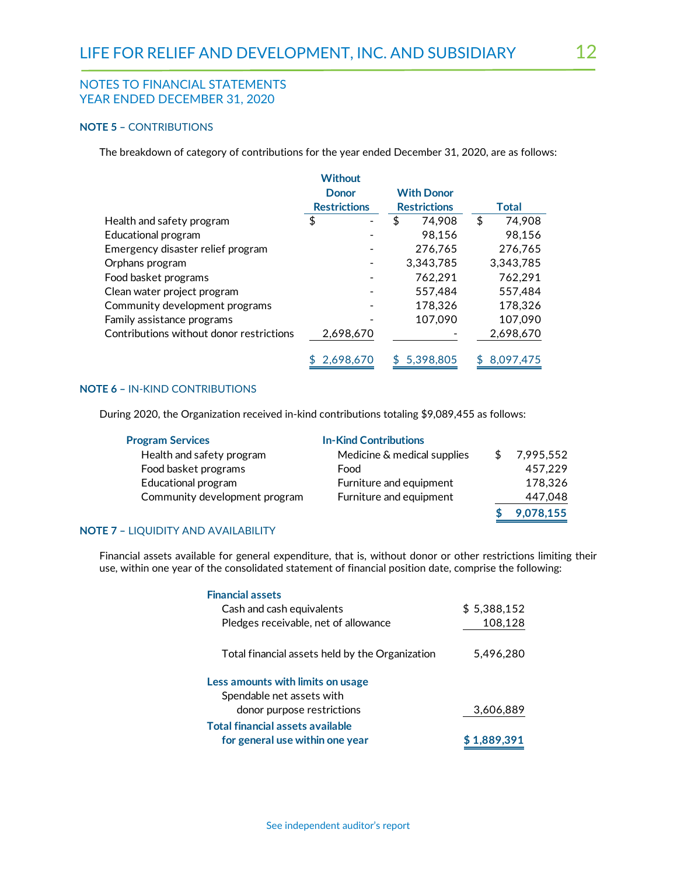#### **NOTE 5 –** CONTRIBUTIONS

The breakdown of category of contributions for the year ended December 31, 2020, are as follows:

|                                          | <b>Without</b>      |                     |              |
|------------------------------------------|---------------------|---------------------|--------------|
|                                          | <b>Donor</b>        | <b>With Donor</b>   |              |
|                                          | <b>Restrictions</b> | <b>Restrictions</b> | <b>Total</b> |
| Health and safety program                | \$                  | 74,908<br>\$        | \$<br>74,908 |
| Educational program                      |                     | 98,156              | 98,156       |
| Emergency disaster relief program        |                     | 276,765             | 276,765      |
| Orphans program                          |                     | 3,343,785           | 3,343,785    |
| Food basket programs                     |                     | 762,291             | 762,291      |
| Clean water project program              |                     | 557,484             | 557,484      |
| Community development programs           |                     | 178,326             | 178,326      |
| Family assistance programs               |                     | 107,090             | 107,090      |
| Contributions without donor restrictions | 2,698,670           |                     | 2,698,670    |
|                                          | 2,698,670           | 5.398.805<br>S.     | 8.097.475    |

#### **NOTE 6 –** IN-KIND CONTRIBUTIONS

During 2020, the Organization received in-kind contributions totaling \$9,089,455 as follows:

| <b>Program Services</b>       | <b>In-Kind Contributions</b> |           |
|-------------------------------|------------------------------|-----------|
| Health and safety program     | Medicine & medical supplies  | 7,995,552 |
| Food basket programs          | Food                         | 457,229   |
| Educational program           | Furniture and equipment      | 178,326   |
| Community development program | Furniture and equipment      | 447,048   |
|                               |                              | 9,078,155 |

#### **NOTE 7 –** LIQUIDITY AND AVAILABILITY

Financial assets available for general expenditure, that is, without donor or other restrictions limiting their use, within one year of the consolidated statement of financial position date, comprise the following:

| <b>Financial assets</b>                         |             |
|-------------------------------------------------|-------------|
| Cash and cash equivalents                       | \$5.388.152 |
| Pledges receivable, net of allowance            | 108,128     |
|                                                 |             |
| Total financial assets held by the Organization | 5.496.280   |
|                                                 |             |
| Less amounts with limits on usage               |             |
| Spendable net assets with                       |             |
| donor purpose restrictions                      | 3,606,889   |
| <b>Total financial assets available</b>         |             |
| for general use within one year                 | \$1.889.391 |